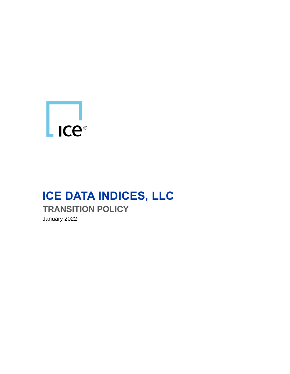

# **ICE DATA INDICES, LLC TRANSITION POLICY** January 2022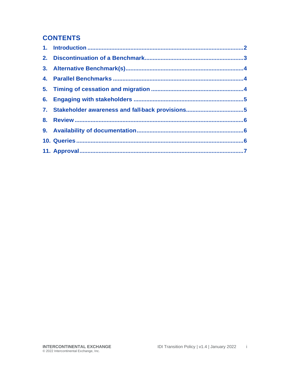#### **CONTENTS**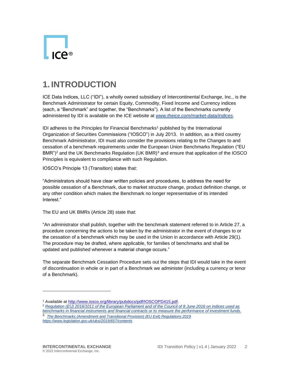

#### <span id="page-2-0"></span>**1. INTRODUCTION**

ICE Data Indices, LLC ("IDI"), a wholly owned subsidiary of Intercontinental Exchange, Inc., is the Benchmark Administrator for certain Equity, Commodity, Fixed Income and Currency indices (each, a "Benchmark" and together, the "Benchmarks"). A list of the Benchmarks currently administered by IDI is available on the ICE website at *[www.theice.com/market-data/indices](http://www.theice.com/market-data/indices)*.

IDI adheres to the Principles for Financial Benchmarks<sup>1</sup> published by the International Organization of Securities Commissions ("IOSCO") in July 2013. In addition, as a third country Benchmark Administrator, IDI must also consider the provisions relating to the Changes to and cessation of a benchmark requirements under the European Union Benchmarks Regulation ("EU BMR")<sup>2</sup> and the UK Benchmarks Regulation (UK BMR)<sup>3</sup> and ensure that application of the IOSCO Principles is equivalent to compliance with such Regulation.

IOSCO's Principle 13 (Transition) states that:

"Administrators should have clear written policies and procedures, to address the need for possible cessation of a Benchmark, due to market structure change, product definition change, or any other condition which makes the Benchmark no longer representative of its intended Interest."

The EU and UK BMRs (Article 28) state that:

"An administrator shall publish, together with the benchmark statement referred to in Article 27, a procedure concerning the actions to be taken by the administrator in the event of changes to or the cessation of a benchmark which may be used in the Union in accordance with Article 29(1). The procedure may be drafted, where applicable, for families of benchmarks and shall be updated and published whenever a material change occurs."

The separate Benchmark Cessation Procedure sets out the steps that IDI would take in the event of discontinuation in whole or in part of a Benchmark we administer (including a currency or tenor of a Benchmark).

<sup>1</sup> Available at [http://www.iosco.org/library/pubdocs/pdf/IOSCOPD415.pdf.](http://www.iosco.org/library/pubdocs/pdf/IOSCOPD415.pdf)

<sup>2</sup> *[Regulation \(EU\) 2016/1011 of the European Parliament and of the Council of 8 June 2016 on indices used as](https://eur-lex.europa.eu/legal-content/EN/TXT/?uri=CELEX%3A32016R1011)  [benchmarks in financial instruments and financial contracts or to measure the performance of investment funds.](https://eur-lex.europa.eu/legal-content/EN/TXT/?uri=CELEX%3A32016R1011)*

<sup>3</sup> *The Benchmarks (Amendment and Transitional Provision) (EU Exit) Regulations 2019 <https://www.legislation.gov.uk/uksi/2019/657/contents>*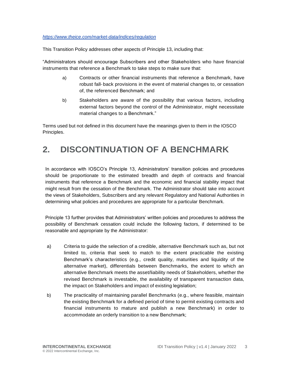#### *<https://www.theice.com/market-data/indices/regulation>*

This Transition Policy addresses other aspects of Principle 13, including that:

"Administrators should encourage Subscribers and other Stakeholders who have financial instruments that reference a Benchmark to take steps to make sure that:

- a) Contracts or other financial instruments that reference a Benchmark, have robust fall-back provisions in the event of material changes to, or cessation of, the referenced Benchmark; and
- b) Stakeholders are aware of the possibility that various factors, including external factors beyond the control of the Administrator, might necessitate material changes to a Benchmark."

Terms used but not defined in this document have the meanings given to them in the IOSCO Principles.

#### <span id="page-3-0"></span>**2. DISCONTINUATION OF A BENCHMARK**

In accordance with IOSCO's Principle 13, Administrators' transition policies and procedures should be proportionate to the estimated breadth and depth of contracts and financial instruments that reference a Benchmark and the economic and financial stability impact that might result from the cessation of the Benchmark. The Administrator should take into account the views of Stakeholders, Subscribers and any relevant Regulatory and National Authorities in determining what policies and procedures are appropriate for a particular Benchmark.

Principle 13 further provides that Administrators' written policies and procedures to address the possibility of Benchmark cessation could include the following factors, if determined to be reasonable and appropriate by the Administrator:

- a) Criteria to guide the selection of a credible, alternative Benchmark such as, but not limited to, criteria that seek to match to the extent practicable the existing Benchmark's characteristics (e.g., credit quality, maturities and liquidity of the alternative market), differentials between Benchmarks, the extent to which an alternative Benchmark meets the asset/liability needs of Stakeholders, whether the revised Benchmark is investable, the availability of transparent transaction data, the impact on Stakeholders and impact of existing legislation;
- b) The practicality of maintaining parallel Benchmarks (e.g., where feasible, maintain the existing Benchmark for a defined period of time to permit existing contracts and financial instruments to mature and publish a new Benchmark) in order to accommodate an orderly transition to a new Benchmark;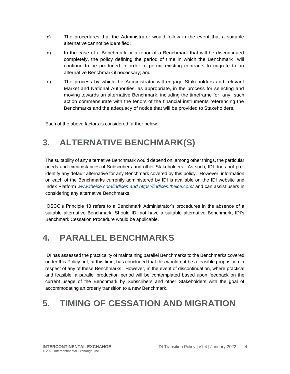- c) The procedures that the Administrator would follow in the event that a suitable alternative cannot be identified;
- d) In the case of a Benchmark or a tenor of a Benchmark that will be discontinued completely, the policy defining the period of time in which the Benchmark will continue to be produced in order to permit existing contracts to migrate to an alternative Benchmark if necessary; and
- e) The process by which the Administrator will engage Stakeholders and relevant Market and National Authorities, as appropriate, in the process for selecting and moving towards an alternative Benchmark, including the timeframe for any such action commensurate with the tenors of the financial instruments referencing the Benchmarks and the adequacy of notice that will be provided to Stakeholders.

Each of the above factors is considered further below.

# <span id="page-4-0"></span>**3. ALTERNATIVE BENCHMARK(S)**

The suitability of any alternative Benchmark would depend on, among other things, the particular needs and circumstances of Subscribers and other Stakeholders. As such, IDI does not preidentify any default alternative for any Benchmark covered by this policy. However, information on each of the Benchmarks currently administered by IDI is available on the IDI website and Index Platform *[www.theice.com/indices](http://www.theice.com/indices) and https://indices.theice.com/* and can assist users in considering any alternative Benchmarks.

IOSCO's Principle 13 refers to a Benchmark Administrator's procedures in the absence of a suitable alternative Benchmark. Should IDI not have a suitable alternative Benchmark, IDI's Benchmark Cessation Procedure would be applicable.

#### <span id="page-4-1"></span>**4. PARALLEL BENCHMARKS**

IDI has assessed the practicality of maintaining parallel Benchmarks to the Benchmarks covered under this Policy but, at this time, has concluded that this would not be a feasible proposition in respect of any of these Benchmarks. However, in the event of discontinuation, where practical and feasible, a parallel production period will be contemplated based upon feedback on the current usage of the Benchmark by Subscribers and other Stakeholders with the goal of accommodating an orderly transition to a new Benchmark.

## <span id="page-4-2"></span>**5. TIMING OF CESSATION AND MIGRATION**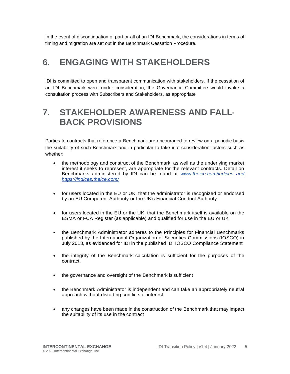In the event of discontinuation of part or all of an IDI Benchmark, the considerations in terms of timing and migration are set out in the Benchmark Cessation Procedure.

#### <span id="page-5-0"></span>**6. ENGAGING WITH STAKEHOLDERS**

IDI is committed to open and transparent communication with stakeholders. If the cessation of an IDI Benchmark were under consideration, the Governance Committee would invoke a consultation process with Subscribers and Stakeholders, as appropriate

#### <span id="page-5-1"></span>**7. STAKEHOLDER AWARENESS AND FALL-BACK PROVISIONS**

Parties to contracts that reference a Benchmark are encouraged to review on a periodic basis the suitability of such Benchmark and in particular to take into consideration factors such as whether:

- the methodology and construct of the Benchmark, as well as the underlying market interest it seeks to represent, are appropriate for the relevant contracts. Detail on Benchmarks administered by IDI can be found at *[www.theice.com/indices](http://www.theice.com/indices) and https://indices.theice.com/*
- for users located in the EU or UK, that the administrator is recognized or endorsed by an EU Competent Authority or the UK's Financial Conduct Authority.
- for users located in the EU or the UK, that the Benchmark itself is available on the ESMA or FCA Register (as applicable) and qualified for use in the EU or UK
- the Benchmark Administrator adheres to the Principles for Financial Benchmarks published by the International Organization of Securities Commissions (IOSCO) in July 2013, as evidenced for IDI in the published IDI IOSCO Compliance Statement
- the integrity of the Benchmark calculation is sufficient for the purposes of the contract.
- the governance and oversight of the Benchmark is sufficient
- the Benchmark Administrator is independent and can take an appropriately neutral approach without distorting conflicts of interest
- any changes have been made in the construction of the Benchmark that may impact the suitability of its use in the contract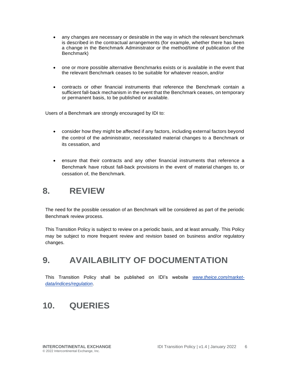- any changes are necessary or desirable in the way in which the relevant benchmark is described in the contractual arrangements (for example, whether there has been a change in the Benchmark Administrator or the method/time of publication of the Benchmark)
- one or more possible alternative Benchmarks exists or is available in the event that the relevant Benchmark ceases to be suitable for whatever reason, and/or
- contracts or other financial instruments that reference the Benchmark contain a sufficient fall-back mechanism in the event that the Benchmark ceases, on temporary or permanent basis, to be published or available.

Users of a Benchmark are strongly encouraged by IDI to:

- consider how they might be affected if any factors, including external factors beyond the control of the administrator, necessitated material changes to a Benchmark or its cessation, and
- ensure that their contracts and any other financial instruments that reference a Benchmark have robust fall-back provisions in the event of material changes to, or cessation of, the Benchmark.

#### <span id="page-6-0"></span>**8. REVIEW**

The need for the possible cessation of an Benchmark will be considered as part of the periodic Benchmark review process.

This Transition Policy is subject to review on a periodic basis, and at least annually. This Policy may be subject to more frequent review and revision based on business and/or regulatory changes.

#### <span id="page-6-1"></span>**9. AVAILABILITY OF DOCUMENTATION**

This Transition Policy shall be published on IDI's website *[www.theice.com/market](http://www.theice.com/market-data/indices/regulation)[data/indices/regulation](http://www.theice.com/market-data/indices/regulation)*.

## <span id="page-6-2"></span>**10. QUERIES**